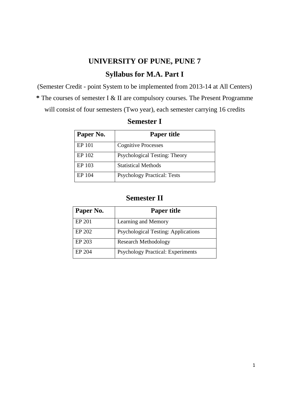# **UNIVERSITY OF PUNE, PUNE 7 Syllabus for M.A. Part I**

(Semester Credit - point System to be implemented from 2013-14 at All Centers) **\*** The courses of semester I & II are compulsory courses. The Present Programme will consist of four semesters (Two year), each semester carrying 16 credits

| Paper No. | <b>Paper title</b>                 |
|-----------|------------------------------------|
| EP 101    | <b>Cognitive Processes</b>         |
| EP 102    | Psychological Testing: Theory      |
| EP 103    | <b>Statistical Methods</b>         |
| EP 104    | <b>Psychology Practical: Tests</b> |

## **Semester I**

## **Semester II**

| Paper No. | <b>Paper title</b>                         |
|-----------|--------------------------------------------|
| EP 201    | Learning and Memory                        |
| EP 202    | <b>Psychological Testing: Applications</b> |
| EP 203    | <b>Research Methodology</b>                |
| EP 204    | <b>Psychology Practical: Experiments</b>   |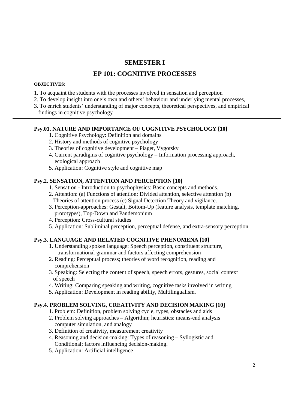## **SEMESTER I**

## **EP 101: COGNITIVE PROCESSES**

## **OBJECTIVES:**

- 1. To acquaint the students with the processes involved in sensation and perception
- 2. To develop insight into one's own and others' behaviour and underlying mental processes,
- 3. To enrich students' understanding of major concepts, theoretical perspectives, and empirical findings in cognitive psychology

## **Psy.01. NATURE AND IMPORTANCE OF COGNITIVE PSYCHOLOGY [10]**

- 1. Cognitive Psychology: Definition and domains
- 2. History and methods of cognitive psychology
- 3. Theories of cognitive development Piaget, Vygotsky
- 4. Current paradigms of cognitive psychology Information processing approach, ecological approach
- 5. Application: Cognitive style and cognitive map

## **Psy.2. SENSATION, ATTENTION AND PERCEPTION [10]**

- 1. Sensation Introduction to psychophysics: Basic concepts and methods.
- 2. Attention: (a) Functions of attention: Divided attention, selective attention (b) Theories of attention process (c) Signal Detection Theory and vigilance.
- 3. Perception-approaches: Gestalt, Bottom-Up (feature analysis, template matching, prototypes), Top-Down and Pandemonium
- 4. Perception: Cross-cultural studies
- 5. Application: Subliminal perception, perceptual defense, and extra-sensory perception.

## **Psy.3. LANGUAGE AND RELATED COGNITIVE PHENOMENA [10]**

- 1. Understanding spoken language: Speech perception, constituent structure, transformational grammar and factors affecting comprehension
- 2. Reading: Perceptual process; theories of word recognition, reading and comprehension
- 3. Speaking: Selecting the content of speech, speech errors, gestures, social context of speech
- 4. Writing: Comparing speaking and writing, cognitive tasks involved in writing
- 5. Application: Development in reading ability, Multilingualism.

## **Psy.4. PROBLEM SOLVING, CREATIVITY AND DECISION MAKING [10]**

- 1. Problem: Definition, problem solving cycle, types, obstacles and aids
- 2. Problem solving approaches Algorithm; heuristics: means-end analysis computer simulation, and analogy
- 3. Definition of creativity, measurement creativity
- 4. Reasoning and decision-making: Types of reasoning Syllogistic and Conditional; factors influencing decision-making.
- 5. Application: Artificial intelligence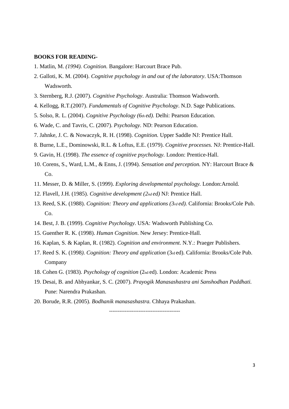#### **BOOKS FOR READING-**

- 1. Matlin, M. *(1994). Cognition.* Bangalore: Harcourt Brace Pub.
- 2. Galloti, K. M. (2004). *Cognitive psychology in and out of the laboratory*. USA:Thomson Wadsworth.
- 3. Sternberg, R.J. (2007). *Cognitive Psychology*. Australia: Thomson Wadsworth.
- 4. Kellogg, R.T.(2007). *Fundamentals of Cognitive Psychology*. N.D. Sage Publications.
- 5. Solso, R. L. (2004). *Cognitive Psychology (6th ed).* Delhi: Pearson Education.
- 6. Wade, C. and Tavris, C. (2007). *Psychology*. ND: Pearson Education.
- 7. Jahnke, J. C. & Nowaczyk, R. H. (1998). *Cognition.* Upper Saddle NJ: Prentice Hall.
- 8. Burne, L.E., Dominowski, R.L. & Loftus, E.E. (1979). *Cognitive processes.* NJ: Prentice-Hall.
- 9. Gavin, H. (1998). *The essence of cognitive psychology.* London: Prentice-Hall.
- 10. Corens, S., Ward, L.M., & Enns, J. (1994). *Sensation and perception.* NY: Harcourt Brace & Co.
- 11. Messer, D. & Miller, S. (1999). *Exploring developmental psychology.* London:Arnold.
- 12. Flavell, J.H. (1985). *Cognitive development (2nd ed)* NJ: Prentice Hall.
- 13. Reed, S.K. (1988). *Cognition: Theory and applications (3rd ed).* California: Brooks/Cole Pub. Co.
- 14. Best, J. B. (1999). *Cognitive Psychology*. USA: Wadsworth Publishing Co.
- 15. Guenther R. K. (1998). *Human Cognition*. New Jersey: Prentice-Hall.
- 16. Kaplan, S. & Kaplan, R. (1982). *Cognition and environment.* N.Y.: Praeger Publishers.
- 17. Reed S. K. (1998*). Cognition: Theory and application* (3rd ed). California: Brooks/Cole Pub. Company
- 18. Cohen G. (1983). *Psychology of cognition* (2nd ed). London: Academic Press
- 19. Desai, B. and Abhyankar, S. C. (2007). *Prayogik Manasashastra ani Sanshodhan Paddhati.*  Pune: Narendra Prakashan.
- 20. Borude, R.R. (2005). *Bodhanik manasashastra.* Chhaya Prakashan.

-----------------------------------------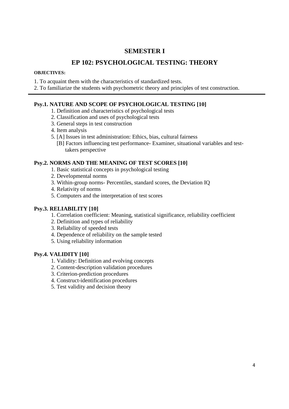## **SEMESTER I**

## **EP 102: PSYCHOLOGICAL TESTING: THEORY**

#### **OBJECTIVES:**

- 1. To acquaint them with the characteristics of standardized tests.
- 2. To familiarize the students with psychometric theory and principles of test construction.

## **Psy.1. NATURE AND SCOPE OF PSYCHOLOGICAL TESTING [10]**

- 1. Definition and characteristics of psychological tests
- 2. Classification and uses of psychological tests
- 3. General steps in test construction
- 4. Item analysis
- 5. [A] Issues in test administration: Ethics, bias, cultural fairness
	- [B] Factors influencing test performance- Examiner, situational variables and test takers perspective

## **Psy.2. NORMS AND THE MEANING OF TEST SCORES [10]**

- 1. Basic statistical concepts in psychological testing
- 2. Developmental norms
- 3. Within-group norms- Percentiles, standard scores, the Deviation IQ
- 4. Relativity of norms
- 5. Computers and the interpretation of test scores

## **Psy.3. RELIABILITY [10]**

- 1. Correlation coefficient: Meaning, statistical significance, reliability coefficient
- 2. Definition and types of reliability
- 3. Reliability of speeded tests
- 4. Dependence of reliability on the sample tested
- 5. Using reliability information

## **Psy.4. VALIDITY [10]**

- 1. Validity: Definition and evolving concepts
- 2. Content-description validation procedures
- 3. Criterion-prediction procedures
- 4. Construct-identification procedures
- 5. Test validity and decision theory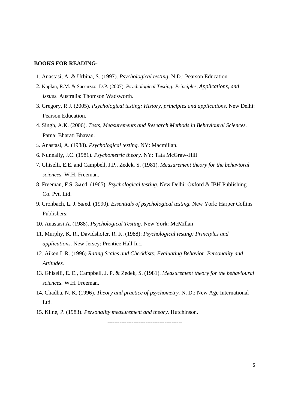#### **BOOKS FOR READING-**

- 1. Anastasi, A. & Urbina, S. (1997). *Psychological testing*. N.D.: Pearson Education.
- 2. Kaplan, R.M. & Saccuzzo, D.P. (2007). *Psychological Testing: Principles, Applications, and Issues.* Australia: Thomson Wadsworth.
- 3. Gregory, R.J. (2005). *Psychological testing: History, principles and applications*. New Delhi: Pearson Education.
- 4. Singh, A.K. (2006). *Tests, Measurements and Research Methods in Behavioural Sciences.*  Patna: Bharati Bhavan.
- 5. Anastasi, A. (1988). *Psychological testing.* NY: Macmillan.
- 6. Nunnally, J.C. (1981). *Psychometric theory.* NY: Tata McGraw-Hill
- 7. Ghiselli, E.E. and Campbell, J.P., Zedek, S. (1981). *Measurement theory for the behavioral sciences.* W.H. Freeman.
- 8. Freeman, F.S. 3rd ed. (1965). *Psychological testing.* New Delhi: Oxford & IBH Publishing Co. Pvt. Ltd.
- 9. Cronbach, L. J. 5th ed. (1990). *Essentials of psychological testing.* New York: Harper Collins Publishers:
- 10. Anastasi A. (1988). *Psychological Testing.* New York: McMillan
- 11. Murphy, K. R., Davidshofer, R. K. (1988): *Psychological testing: Principles and applications.* New Jersey: Prentice Hall Inc.
- 12. Aiken L.R. (1996) *Rating Scales and Checklists: Evaluating Behavior, Personality and Attitudes.*
- 13. Ghiselli, E. E., Campbell, J. P. & Zedek, S. (1981). *Measurement theory for the behavioural sciences.* W.H. Freeman.
- 14. Chadha, N. K. (1996). *Theory and practice of psychometry.* N. D.: New Age International Ltd.
- 15. Kline, P. (1983). *Personality measurement and theory.* Hutchinson.

**-------------------------------------------**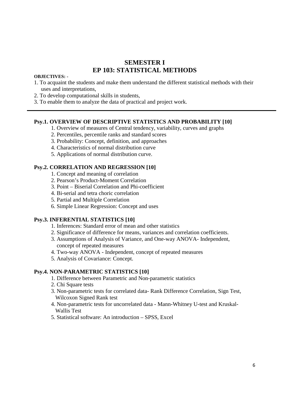## **SEMESTER I EP 103: STATISTICAL METHODS**

#### **OBJECTIVES: -**

- 1. To acquaint the students and make them understand the different statistical methods with their uses and interpretations,
- 2. To develop computational skills in students,
- 3. To enable them to analyze the data of practical and project work.

#### **Psy.1. OVERVIEW OF DESCRIPTIVE STATISTICS AND PROBABILITY [10]**

- 1. Overview of measures of Central tendency, variability, curves and graphs
- 2. Percentiles, percentile ranks and standard scores
- 3. Probability: Concept, definition, and approaches
- 4. Characteristics of normal distribution curve
- 5. Applications of normal distribution curve.

## **Psy.2. CORRELATION AND REGRESSION [10]**

- 1. Concept and meaning of correlation
- 2. Pearson's Product-Moment Correlation
- 3. Point Biserial Correlation and Phi-coefficient
- 4. Bi-serial and tetra choric correlation
- 5. Partial and Multiple Correlation
- 6. Simple Linear Regression: Concept and uses

## **Psy.3. INFERENTIAL STATISTICS [10]**

- 1. Inferences: Standard error of mean and other statistics
- 2. Significance of difference for means, variances and correlation coefficients.
- 3. Assumptions of Analysis of Variance, and One-way ANOVA- Independent, concept of repeated measures
- 4. Two-way ANOVA Independent, concept of repeated measures
- 5. Analysis of Covariance: Concept.

#### **Psy.4. NON-PARAMETRIC STATISTICS [10]**

- 1. Difference between Parametric and Non-parametric statistics
- 2. Chi Square tests
- 3. Non-parametric tests for correlated data- Rank Difference Correlation, Sign Test, Wilcoxon Signed Rank test
- 4. Non-parametric tests for uncorrelated data Mann-Whitney U-test and Kruskal- Wallis Test
- 5. Statistical software: An introduction SPSS, Excel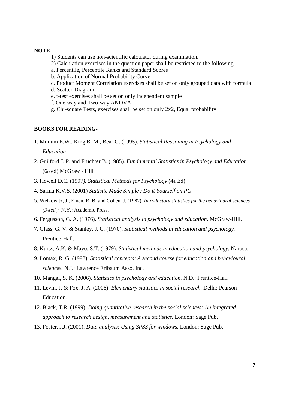#### **NOTE-**

- 1) Students can use non-scientific calculator during examination.
- 2) Calculation exercises in the question paper shall be restricted to the following:
- a. Percentile, Percentile Ranks and Standard Scores
- b. Application of Normal Probability Curve
- c. Product Moment Correlation exercises shall be set on only grouped data with formula
- d. Scatter-Diagram
- e. t-test exercises shall be set on only independent sample
- f. One-way and Two-way ANOVA
- g. Chi-square Tests, exercises shall be set on only 2x2, Equal probability

#### **BOOKS FOR READING-**

- 1. Minium E.W., King B. M., Bear G. (1995). *Statistical Reasoning in Psychology and Education*
- 2. Guilford J. P. and Fruchter B. (1985). *Fundamental Statistics in Psychology and Education*  (6th ed) McGraw - Hill
- 3. Howell D.C. (1997*). Statistical Methods for Psychology* (4th Ed)
- 4. Sarma K.V.S. (2001) *Statistic Made Simple : Do it Yourself on PC*
- 5. Welkowitz, J., Emen, R. B. and Cohen, J. (1982). *Introductory statistics for the behavioural sciences (3rd ed.).* N.Y.: Academic Press.
- 6. Fergusson, G. A. (1976). *Statistical analysis in psychology and education*. McGraw-Hill.
- 7. Glass, G. V. & Stanley, J. C. (1970). *Statistical methods in education and psychology.*  Prentice-Hall.
- 8. Kurtz, A.K. & Mayo, S.T. (1979). *Statistical methods in education and psychology.* Narosa.
- 9. Lomax, R. G. (1998). *Statistical concepts: A second course for education and behavioural sciences.* N.J.: Lawrence Erlbaum Asso. Inc.
- 10. Mangal, S. K. (2006). *Statistics in psychology and education.* N.D.: Prentice-Hall
- 11. Levin, J. & Fox, J. A. (2006). *Elementary statistics in social research.* Delhi: Pearson Education.
- 12. Black, T.R. (1999). *Doing quantitative research in the social sciences: An integrated approach to research design, measurement and statistics.* London: Sage Pub.

**-----------------------------** 

13. Foster, J.J. (2001). *Data analysis: Using SPSS for windows.* London: Sage Pub.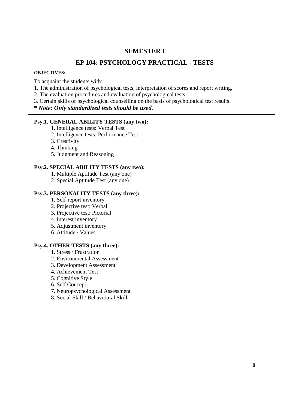## **SEMESTER I**

## **EP 104: PSYCHOLOGY PRACTICAL - TESTS**

#### **OBJECTIVES:**

To acquaint the students with:

- 1. The administration of psychological tests, interpretation of scores and report writing,
- 2. The evaluation procedures and evaluation of psychological tests,
- 3. Certain skills of psychological counselling on the basis of psychological test results.

**\*** *Note: Only standardized tests should be used.* 

## **Psy.1. GENERAL ABILITY TESTS (any two):**

- 1. Intelligence tests: Verbal Test
- 2. Intelligence tests: Performance Test
- 3. Creativity
- 4. Thinking
- 5. Judgment and Reasoning

## **Psy.2. SPECIAL ABILITY TESTS (any two):**

- 1. Multiple Aptitude Test (any one)
- 2. Special Aptitude Test (any one)

## **Psy.3. PERSONALITY TESTS (any three):**

- 1. Self-report inventory
- 2. Projective test: Verbal
- 3. Projective test: Pictorial
- 4. Interest inventory
- 5. Adjustment inventory
- 6. Attitude / Values

## **Psy.4. OTHER TESTS (any three):**

- 1. Stress / Frustration
- 2. Environmental Assessment
- 3. Development Assessment
- 4. Achievement Test
- 5. Cognitive Style
- 6. Self Concept
- 7. Neuropsychological Assessment
- 8. Social Skill / Behavioural Skill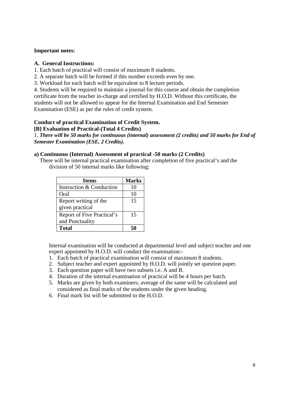#### **Important notes:**

#### **A. General Instructions:**

- 1. Each batch of practical will consist of maximum 8 students.
- 2. A separate batch will be formed if this number exceeds even by one.
- 3. Workload for each batch will be equivalent to 8 lecture periods.

4. Students will be required to maintain a journal for this course and obtain the completion certificate from the teacher in-charge and certified by H.O.D. Without this certificate, the students will not be allowed to appear for the Internal Examination and End Semester Examination (ESE) as per the rules of credit system.

#### **Conduct of practical Examination of Credit System.**

#### **[B] Evaluation of Practical-(Total 4 Credits)**

1. *There will be 50 marks for continuous (internal) assessment (2 credits) and 50 marks for End of Semester Examination (ESE, 2 Credits).* 

#### **a) Continuous (Internal) Assessment of practical -50 marks (2 Credits)**

 There will be internal practical examination after completion of five practical's and the division of 50 internal marks like following:

| <b>Items</b>                      | <b>Marks</b> |
|-----------------------------------|--------------|
| Instruction & Conduction          | 10           |
| Oral                              | 10           |
| Report writing of the             | 15           |
| given practical                   |              |
| <b>Report of Five Practical's</b> | 15           |
| and Punctuality                   |              |
| <b>Total</b>                      |              |

Internal examination will be conducted at departmental level and subject teacher and one expert appointed by H.O.D. will conduct the examination:-

- 1. Each batch of practical examination will consist of maximum 8 students.
- 2. Subject teacher and expert appointed by H.O.D. will jointly set question paper.
- 3. Each question paper will have two subsets i.e. A and B.
- 4. Duration of the internal examination of practical will be 4 hours per batch.
- 5. Marks are given by both examiners; average of the same will be calculated and considered as final marks of the students under the given heading.
- 6. Final mark list will be submitted to the H.O.D.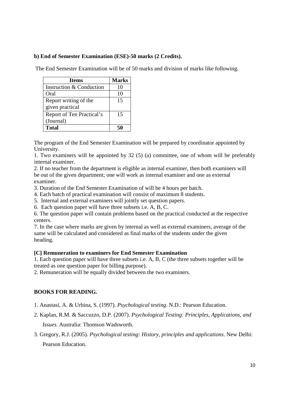## **b) End of Semester Examination (ESE)-50 marks (2 Credits).**

The End Semester Examination will be of 50 marks and division of marks like following.

| <b>Items</b>              | <b>Marks</b> |
|---------------------------|--------------|
| Instruction & Conduction  | 10           |
| Oral                      | 10           |
| Report writing of the     | 15           |
| given practical           |              |
| Report of Ten Practical's | 15           |
| (Journal)                 |              |
| <b>Total</b>              |              |

The program of the End Semester Examination will be prepared by coordinator appointed by University.

1. Two examiners will be appointed by 32 (5) (a) committee, one of whom will be preferably internal examiner.

2. If no teacher from the department is eligible as internal examiner, then both examiners will be out of the given department; one will work as internal examiner and one as external examiner.

- 3. Duration of the End Semester Examination of will be 4 hours per batch.
- 4. Each batch of practical examination will consist of maximum 8 students.
- 5. Internal and external examiners will jointly set question papers.
- 6. Each question paper will have three subsets i.e. A, B, C.

6. The question paper will contain problems based on the practical conducted at the respective centers.

7. In the case where marks are given by internal as well as external examiners, average of the same will be calculated and considered as final marks of the students under the given heading.

## **[C] Remuneration to examiners for End Semester Examination**

1. Each question paper will have three subsets i.e. A, B, C (the three subsets together will be treated as one question paper for billing purpose).

2. Remuneration will be equally divided between the two examiners.

## **BOOKS FOR READING.**

- 1. Anastasi, A. & Urbina, S. (1997). *Psychological testing*. N.D.: Pearson Education.
- 2. Kaplan, R.M. & Saccuzzo, D.P. (2007). *Psychological Testing: Principles, Applications, and Issues.* Australia: Thomson Wadsworth.
- 3. Gregory, R.J. (2005). *Psychological testing: History, principles and applications*. New Delhi: Pearson Education.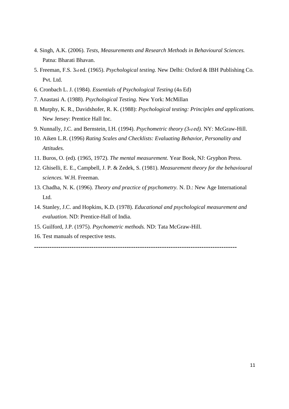- 4. Singh, A.K. (2006). *Tests, Measurements and Research Methods in Behavioural Sciences.*  Patna: Bharati Bhavan.
- 5. Freeman, F.S. 3rd ed. (1965). *Psychological testing.* New Delhi: Oxford & IBH Publishing Co. Pvt. Ltd.
- 6. Cronbach L. J. (1984). *Essentials of Psychological Testing* (4th Ed)
- 7. Anastasi A. (1988). *Psychological Testing.* New York: McMillan
- 8. Murphy, K. R., Davidshofer, R. K. (1988): *Psychological testing: Principles and applications.* New Jersey: Prentice Hall Inc.
- 9. Nunnally, J.C. and Bernstein, I.H. (1994). *Psychometric theory (3rd ed).* NY: McGraw-Hill.
- 10. Aiken L.R. (1996) *Rating Scales and Checklists: Evaluating Behavior, Personality and Attitudes.*
- 11. Buros, O. (ed). (1965, 1972). *The mental measurement.* Year Book, NJ: Gryphon Press.
- 12. Ghiselli, E. E., Campbell, J. P. & Zedek, S. (1981). *Measurement theory for the behavioural sciences.* W.H. Freeman.
- 13. Chadha, N. K. (1996). *Theory and practice of psychometry.* N. D.: New Age International Ltd.
- 14. Stanley, J.C. and Hopkins, K.D. (1978). *Educational and psychological measurement and evaluation.* ND: Prentice-Hall of India.
- 15. Guilford, J.P. (1975). *Psychometric methods.* ND: Tata McGraw-Hill.
- 16. Test manuals of respective tests.

**--------------------------------------------------------------------------------------------**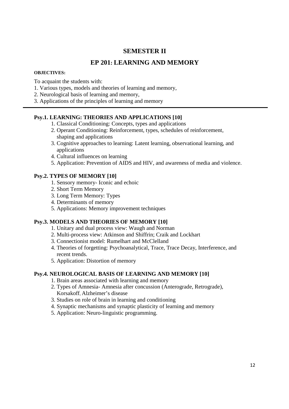## **SEMESTER II**

## **EP 201: LEARNING AND MEMORY**

#### **OBJECTIVES:**

To acquaint the students with:

- 1. Various types, models and theories of learning and memory,
- 2. Neurological basis of learning and memory,
- 3. Applications of the principles of learning and memory

## **Psy.1. LEARNING: THEORIES AND APPLICATIONS [10]**

- 1. Classical Conditioning: Concepts, types and applications
- 2. Operant Conditioning: Reinforcement, types, schedules of reinforcement, shaping and applications
- 3. Cognitive approaches to learning: Latent learning, observational learning, and applications
- 4. Cultural influences on learning
- 5. Application: Prevention of AIDS and HIV, and awareness of media and violence.

## **Psy.2. TYPES OF MEMORY [10]**

- 1. Sensory memory- Iconic and echoic
- 2. Short Term Memory
- 3. Long Term Memory: Types
- 4. Determinants of memory
- 5. Applications: Memory improvement techniques

## **Psy.3. MODELS AND THEORIES OF MEMORY [10]**

- 1. Unitary and dual process view: Waugh and Norman
- 2. Multi-process view: Atkinson and Shiffrin; Craik and Lockhart
- 3. Connectionist model: Rumelhart and McClelland
- 4. Theories of forgetting: Psychoanalytical, Trace, Trace Decay, Interference, and recent trends.
- 5. Application: Distortion of memory

## **Psy.4. NEUROLOGICAL BASIS OF LEARNING AND MEMORY [10]**

- 1. Brain areas associated with learning and memory
- 2. Types of Amnesia- Amnesia after concussion (Anterograde, Retrograde), Korsakoff, Alzheimer's disease
- 3. Studies on role of brain in learning and conditioning
- 4. Synaptic mechanisms and synaptic plasticity of learning and memory
- 5. Application: Neuro-linguistic programming.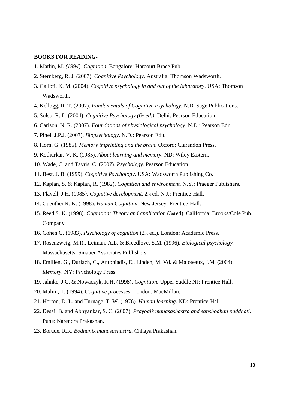#### **BOOKS FOR READING-**

- 1. Matlin, M. *(1994). Cognition.* Bangalore: Harcourt Brace Pub.
- 2. Sternberg, R. J. (2007). *Cognitive Psychology*. Australia: Thomson Wadsworth.
- 3. Galloti, K. M. (2004). *Cognitive psychology in and out of the laboratory*. USA: Thomson Wadsworth.
- 4. Kellogg, R. T. (2007). *Fundamentals of Cognitive Psychology*. N.D. Sage Publications.
- 5. Solso, R. L. (2004). *Cognitive Psychology (6th ed.).* Delhi: Pearson Education.
- 6. Carlson, N. R. (2007). *Foundations of physiological psychology*. N.D.: Pearson Edu.
- 7. Pinel, J.P.J. (2007). *Biopsychology*. N.D.: Pearson Edu.
- 8. Horn, G. (1985). *Memory imprinting and the brain.* Oxford: Clarendon Press.
- 9. Kothurkar, V. K. (1985). *About learning and memory.* ND: Wiley Eastern.
- 10. Wade, C. and Tavris, C. (2007). *Psychology*. Pearson Education.
- 11. Best, J. B. (1999). *Cognitive Psychology*. USA: Wadsworth Publishing Co.
- 12. Kaplan, S. & Kaplan, R. (1982). *Cognition and environment.* N.Y.: Praeger Publishers.
- 13. Flavell, J.H. (1985*). Cognitive development.* 2nd ed. N.J.: Prentice-Hall.
- 14. Guenther R. K. (1998). *Human Cognition*. New Jersey: Prentice-Hall.
- 15. Reed S. K. (1998*). Cognition: Theory and application* (3rd ed). California: Brooks/Cole Pub. Company
- 16. Cohen G. (1983). *Psychology of cognition* (2nd ed.). London: Academic Press.
- 17. Rosenzweig, M.R., Leiman, A.L. & Breedlove, S.M. (1996). *Biological psychology.*  Massachusetts: Sinauer Associates Publishers.
- 18. Emilien, G., Durlach, C., Antoniadis, E., Linden, M. Vd. & Maloteaux, J.M. (2004). *Memory.* NY: Psychology Press.
- 19. Jahnke, J.C. & Nowaczyk, R.H. (1998). *Cognition.* Upper Saddle NJ: Prentice Hall.
- 20. Malim, T. (1994). *Cognitive processes.* London: MacMillan.
- 21. Horton, D. L. and Turnage, T. W. (1976). *Human learning*. ND: Prentice-Hall
- 22. Desai, B. and Abhyankar, S. C. (2007). *Prayogik manasashastra and sanshodhan paddhati.*  Pune: Narendra Prakashan.

------------------

23. Borude, R.R. *Bodhanik manasashastra.* Chhaya Prakashan.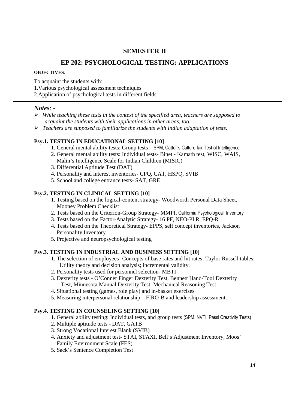## **SEMESTER II**

## **EP 202: PSYCHOLOGICAL TESTING: APPLICATIONS**

#### **OBJECTIVES**:

To acquaint the students with:

1.Various psychological assessment techniques

2.Application of psychological tests in different fields.

## *Notes*: -

- *While teaching these tests in the context of the specified area, teachers are supposed to acquaint the students with their applications in other areas, too.*
- *Teachers are supposed to familiarize the students with Indian adaptation of tests.*

## **Psy.1. TESTING IN EDUCATIONAL SETTING [10]**

- 1. General mental ability tests: Group tests SPM, Cattell's Culture-fair Test of Intelligence
- 2. General mental ability tests: Individual tests- Binet Kamath test, WISC, WAIS, Malin's Intelligence Scale for Indian Children (MISIC)
- 3. Differential Aptitude Test (DAT)
- 4. Personality and interest inventories- CPQ, CAT, HSPQ, SVIB
- 5. School and college entrance tests- SAT, GRE

## **Psy.2. TESTING IN CLINICAL SETTING [10]**

- 1. Testing based on the logical-content strategy- Woodworth Personal Data Sheet, Mooney Problem Checklist
- 2. Tests based on the Criterion-Group Strategy- MMPI, California Psychological Inventory
- 3. Tests based on the Factor-Analytic Strategy- 16 PF, NEO-PI R, EPQ-R
- 4. Tests based on the Theoretical Strategy- EPPS, self concept inventories, Jackson Personality Inventory
- 5. Projective and neuropsychological testing

## **Psy.3. TESTING IN INDUSTRIAL AND BUSINESS SETTING [10]**

- 1. The selection of employees- Concepts of base rates and hit rates; Taylor Russell tables; Utility theory and decision analysis; incremental validity.
- 2. Personality tests used for personnel selection- MBTI
- 3. Dexterity tests O'Conner Finger Dexterity Test, Bennett Hand-Tool Dexterity Test, Minnesota Manual Dexterity Test, Mechanical Reasoning Test
- 4. Situational testing (games, role play) and in-basket exercises
- 5. Measuring interpersonal relationship FIRO-B and leadership assessment.

## **Psy.4. TESTING IN COUNSELING SETTING [10]**

- 1. General ability testing: Individual tests, and group tests (SPM, NVTI, Passi Creativity Tests)
- 2. Multiple aptitude tests DAT, GATB
- 3. Strong Vocational Interest Blank (SVIB)
- 4. Anxiety and adjustment test- STAI, STAXI, Bell's Adjustment Inventory, Moos' Family Environment Scale (FES)
- 5. Sack's Sentence Completion Test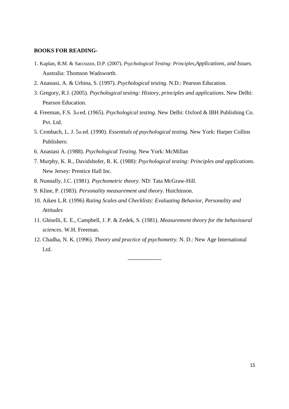#### **BOOKS FOR READING-**

- 1. Kaplan, R.M. & Saccuzzo, D.P. (2007). *Psychological Testing: Principles,Applications, and Issues.*  Australia: Thomson Wadsworth.
- 2. Anastasi, A. & Urbina, S. (1997). *Psychological testing*. N.D.: Pearson Education.
- 3. Gregory, R.J. (2005). *Psychological testing: History, principles and applications*. New Delhi: Pearson Education.
- 4. Freeman, F.S. 3rd ed. (1965). *Psychological testing.* New Delhi: Oxford & IBH Publishing Co. Pvt. Ltd.
- 5. Cronbach, L. J. 5th ed. (1990). *Essentials of psychological testing.* New York: Harper Collins Publishers:
- 6. Anastasi A. (1988). *Psychological Testing.* New York: McMillan
- 7. Murphy, K. R., Davidshofer, R. K. (1988): *Psychological testing: Principles and applications.* New Jersey: Prentice Hall Inc.
- 8. Nunnally, J.C. (1981). *Psychometric theory.* ND: Tata McGraw-Hill.
- 9. Kline, P. (1983). *Personality measurement and theory.* Hutchinson.
- 10. Aiken L.R. (1996) *Rating Scales and Checklists: Evaluating Behavior, Personality and Attitudes*
- 11. Ghiselli, E. E., Campbell, J. P. & Zedek, S. (1981). *Measurement theory for the behavioural sciences.* W.H. Freeman.
- 12. Chadha, N. K. (1996). *Theory and practice of psychometry.* N. D.: New Age International Ltd.

------------------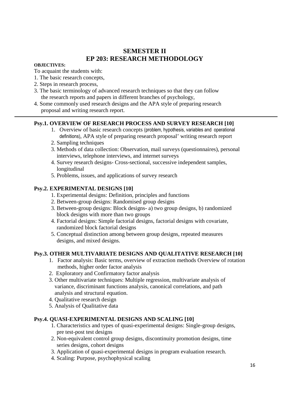## **SEMESTER II EP 203: RESEARCH METHODOLOGY**

#### **OBJECTIVES:**

To acquaint the students with:

- 1. The basic research concepts,
- 2. Steps in research process,
- 3. The basic terminology of advanced research techniques so that they can follow the research reports and papers in different branches of psychology,
- 4. Some commonly used research designs and the APA style of preparing research proposal and writing research report.

## **Psy.1. OVERVIEW OF RESEARCH PROCESS AND SURVEY RESEARCH [10]**

- 1. Overview of basic research concepts (problem, hypothesis, variables and operational definitions), APA style of preparing research proposal' writing research report
- 2. Sampling techniques
- 3. Methods of data collection: Observation, mail surveys (questionnaires), personal interviews, telephone interviews, and internet surveys
- 4. Survey research designs- Cross-sectional, successive independent samples, longitudinal
- 5. Problems, issues, and applications of survey research

## **Psy.2. EXPERIMENTAL DESIGNS [10]**

- 1. Experimental designs: Definition, principles and functions
- 2. Between-group designs: Randomised group designs
- 3. Between-group designs: Block designs- a) two group designs, b) randomized block designs with more than two groups
- 4. Factorial designs: Simple factorial designs, factorial designs with covariate, randomized block factorial designs
- 5. Conceptual distinction among between group designs, repeated measures designs, and mixed designs.

## **Psy.3. OTHER MULTIVARIATE DESIGNS AND QUALITATIVE RESEARCH [10]**

- 1. Factor analysis: Basic terms, overview of extraction methods Overview of rotation methods, higher order factor analysis
- 2. Exploratory and Confirmatory factor analysis
- 3. Other multivariate techniques: Multiple regression, multivariate analysis of variance, discriminant functions analysis, canonical correlations, and path analysis and structural equation.
- 4. Qualitative research design
- 5. Analysis of Qualitative data

## **Psy.4. QUASI-EXPERIMENTAL DESIGNS AND SCALING [10]**

- 1. Characteristics and types of quasi-experimental designs: Single-group designs, pre test-post test designs
- 2. Non-equivalent control group designs, discontinuity promotion designs, time series designs, cohort designs
- 3. Application of quasi-experimental designs in program evaluation research.
- 4. Scaling: Purpose, psychophysical scaling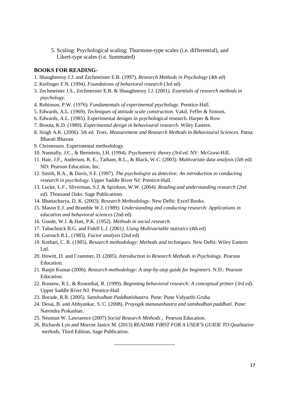5. Scaling: Psychological scaling: Thurstone-type scales (i.e. differential), and Likert-type scales (i.e. Summated)

#### **BOOKS FOR READING-**

- 1. Shaughnessy J.J. and Zechmeister E.B. (1997). *Research Methods in Psychology* (4th ed)
- 2. Kerlinger F.N. (1994*). Foundations of behavioral research* (3rd ed)
- 3. Zechmeister J.S., Zechmeister E.B. & Shaughnessy J.J. (2001*). Essentials of research methods in psychology.*
- 4. Robinson, P.W. (1976). *Fundamentals of experimental psychology*. Prentice-Hall.
- 5. Edwards, A.L. (1969). *Techniques of attitude scale construction.* Vakil, Feffer & Simons.
- 6. Edwards, A.L. (1985). Experimental designs in psychological research. Harper & Row.
- 7. Broota, K.D. (1989). *Experimental design in behavioural research.* Wiley Eastern.
- 8. Singh A.K. (2006). 5th ed. *Tests, Measurement and Research Methods in Behavioural Sciences.* Patna: Bharati Bhavan.
- 9. Christensen. Experimental methodology.
- 10. Nunnally, J.C., & Bernstein, I.H. (1994). *Psychometric theory (3rd ed.* NY: McGraw-Hill.
- 11. Hair, J.F., Anderson, R. E., Tatham, R.L., & Black, W.C. (2003). *Multivariate data analysis (5th ed).*  ND: Pearson Education, Inc.
- 12. Smith, R.A., & Davis, S.F. (1997). *The psychologist as detective: An introduction to conducting research in psychology.* Upper Saddle River NJ: Prentice-Hall.
- 13. Locke, L.F., Sliverman, S.J. & Spirduso, W.W. (2004). *Reading and understanding research (2nd ed).* Thousand Oaks: Sage Publications.
- 14. Bhattacharya, D. K. (2003). *Research Methodology*. New Delhi: Excel Books.
- 15. Mason E.J. and Bramble W.J. (1989*). Understanding and conducting research: Applications in education and behavioral sciences* (2nd ed)
- 16. Goode, W.J. & Hatt, P.K. (1952). *Methods in social research.*
- 17. Tabachnick B.G. and Fidell L.J. (2001*). Using Multivariable statistics* (4th ed)
- 18. Gursuch R.L. (1983). *Factor analysis* (2nd ed)
- 19. Kothari, C. R. (1985). *Research methodology: Methods and techniques.* New Delhi: Wiley Eastern Ltd.
- 20. Howitt, D. and Crammer, D. (2005). *Introduction to Research Methods in Psychology.* Pearson Education.
- 21. Ranjit Kumar (2006). *Research methodology: A step-by-step guide for beginners.* N.D.: Pearson Education.
- 22. Rosnow, R.L. & Rosenthal, R. (1999). *Beginning behavioral research: A conceptual primer (3rd ed).*  Upper Saddle River NJ: Prentice-Hall
- 23. Borude, R.R. (2005). *Sanshodhan Paddhatishastra.* Pune: Pune Vidyarthi Gruha
- 24. Desai, B. and Abhyankar, S. C. (2008). *Prayogik manasashastra and sanshodhan paddhati.* Pune: Narendra Prakashan.
- 25. Neuman W. Lawraence (2007) *Social Research Methods* , Pearson Education.
- 26. Richards Lyn and Morcse Janice M. (2013) *README FIRST FOR A USER'S GUIDE TO Qualitative methods,* Third Edition, Sage Publication.

-----------------------------------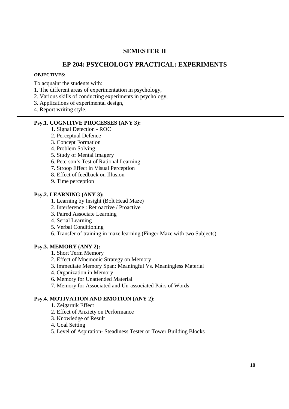## **SEMESTER II**

## **EP 204: PSYCHOLOGY PRACTICAL: EXPERIMENTS**

#### **OBJECTIVES:**

To acquaint the students with:

- 1. The different areas of experimentation in psychology,
- 2. Various skills of conducting experiments in psychology,
- 3. Applications of experimental design,
- 4. Report writing style.

#### **Psy.1. COGNITIVE PROCESSES (ANY 3):**

- 1. Signal Detection ROC
- 2. Perceptual Defence
- 3. Concept Formation
- 4. Problem Solving
- 5. Study of Mental Imagery
- 6. Peterson's Test of Rational Learning
- 7. Stroop Effect in Visual Perception
- 8. Effect of feedback on Illusion
- 9. Time perception

#### **Psy.2. LEARNING (ANY 3):**

- 1. Learning by Insight (Bolt Head Maze)
- 2. Interference : Retroactive / Proactive
- 3. Paired Associate Learning
- 4. Serial Learning
- 5. Verbal Conditioning
- 6. Transfer of training in maze learning (Finger Maze with two Subjects)

#### **Psy.3. MEMORY (ANY 2):**

- 1. Short Term Memory
- 2. Effect of Mnemonic Strategy on Memory
- 3. Immediate Memory Span: Meaningful Vs. Meaningless Material
- 4. Organization in Memory
- 6. Memory for Unattended Material
- 7. Memory for Associated and Un-associated Pairs of Words-

## **Psy.4. MOTIVATION AND EMOTION (ANY 2):**

- 1. Zeigarnik Effect
- 2. Effect of Anxiety on Performance
- 3. Knowledge of Result
- 4. Goal Setting
- 5. Level of Aspiration- Steadiness Tester or Tower Building Blocks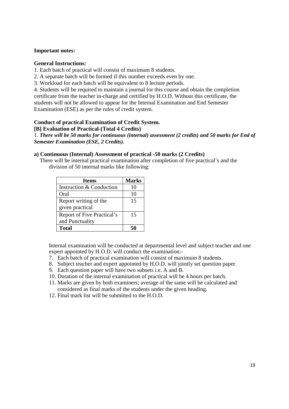#### **Important notes:**

#### **General Instructions:**

1. Each batch of practical will consist of maximum 8 students.

- 2. A separate batch will be formed if this number exceeds even by one.
- 3. Workload for each batch will be equivalent to 8 lecture periods.

4. Students will be required to maintain a journal for this course and obtain the completion certificate from the teacher in-charge and certified by H.O.D. Without this certificate, the students will not be allowed to appear for the Internal Examination and End Semester Examination (ESE) as per the rules of credit system.

## **Conduct of practical Examination of Credit System.**

#### **[B] Evaluation of Practical-(Total 4 Credits)**

1. *There will be 50 marks for continuous (internal) assessment (2 credits) and 50 marks for End of Semester Examination (ESE, 2 Credits).* 

#### **a) Continuous (Internal) Assessment of practical -50 marks (2 Credits)**

 There will be internal practical examination after completion of five practical's and the division of 50 internal marks like following:

| <b>Items</b>                      | <b>Marks</b> |
|-----------------------------------|--------------|
| Instruction & Conduction          | 10           |
| Oral                              | 10           |
| Report writing of the             | 15           |
| given practical                   |              |
| <b>Report of Five Practical's</b> | 15           |
| and Punctuality                   |              |
| <b>Total</b>                      |              |

Internal examination will be conducted at departmental level and subject teacher and one expert appointed by H.O.D. will conduct the examination:-

- 7. Each batch of practical examination will consist of maximum 8 students.
- 8. Subject teacher and expert appointed by H.O.D. will jointly set question paper.
- 9. Each question paper will have two subsets i.e. A and B.
- 10. Duration of the internal examination of practical will be 4 hours per batch.
- 11. Marks are given by both examiners; average of the same will be calculated and considered as final marks of the students under the given heading.
- 12. Final mark list will be submitted to the H.O.D.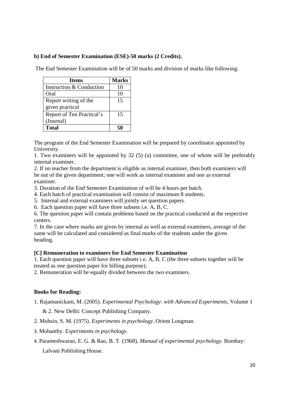## **b) End of Semester Examination (ESE)-50 marks (2 Credits).**

The End Semester Examination will be of 50 marks and division of marks like following.

| <b>Items</b>              | <b>Marks</b> |
|---------------------------|--------------|
| Instruction & Conduction  | 10           |
| Oral                      | 10           |
| Report writing of the     | 15           |
| given practical           |              |
| Report of Ten Practical's | 15           |
| (Journal)                 |              |
| <b>Total</b>              |              |

The program of the End Semester Examination will be prepared by coordinator appointed by University.

1. Two examiners will be appointed by 32 (5) (a) committee, one of whom will be preferably internal examiner.

2. If no teacher from the department is eligible as internal examiner, then both examiners will be out of the given department; one will work as internal examiner and one as external examiner.

3. Duration of the End Semester Examination of will be 4 hours per batch.

4. Each batch of practical examination will consist of maximum 8 students.

5. Internal and external examiners will jointly set question papers.

6. Each question paper will have three subsets i.e. A, B, C.

6. The question paper will contain problems based on the practical conducted at the respective centers.

7. In the case where marks are given by internal as well as external examiners, average of the same will be calculated and considered as final marks of the students under the given heading.

## **[C] Remuneration to examiners for End Semester Examination**

1. Each question paper will have three subsets i.e. A, B, C (the three subsets together will be treated as one question paper for billing purpose).

2. Remuneration will be equally divided between the two examiners.

## **Books for Reading:**

1. Rajamanickam, M. (2005). *Experimental Psychology: with Advanced Experiments,* Volume 1

& 2. New Delhi: Concept Publishing Company.

- 2. Mohsin, S. M. (1975). *Experiments in psychology*. Orient Longman.
- 3. Mohanthy. *Experiments in psychology*.
- 4. Parameshwaran, E. G. & Rao, B. T. (1968). *Manual of experimental psychology.* Bombay:

Lalvani Publishing House.